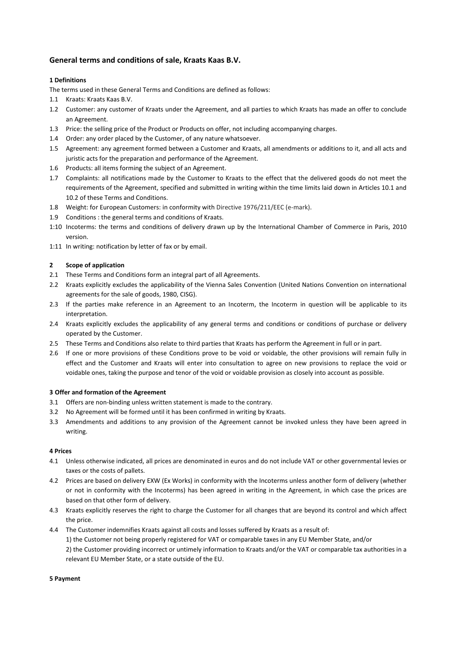# **General terms and conditions of sale, Kraats Kaas B.V.**

## **1 Definitions**

The terms used in these General Terms and Conditions are defined as follows:

- 1.1 Kraats: Kraats Kaas B.V.
- 1.2 Customer: any customer of Kraats under the Agreement, and all parties to which Kraats has made an offer to conclude an Agreement.
- 1.3 Price: the selling price of the Product or Products on offer, not including accompanying charges.
- 1.4 Order: any order placed by the Customer, of any nature whatsoever.
- 1.5 Agreement: any agreement formed between a Customer and Kraats, all amendments or additions to it, and all acts and juristic acts for the preparation and performance of the Agreement.
- 1.6 Products: all items forming the subject of an Agreement.
- 1.7 Complaints: all notifications made by the Customer to Kraats to the effect that the delivered goods do not meet the requirements of the Agreement, specified and submitted in writing within the time limits laid down in Articles 10.1 and 10.2 of these Terms and Conditions.
- 1.8 Weight: for European Customers: in conformity with Directive 1976/211/EEC (e-mark).
- 1.9 Conditions : the general terms and conditions of Kraats.
- 1:10 Incoterms: the terms and conditions of delivery drawn up by the International Chamber of Commerce in Paris, 2010 version.
- 1:11 In writing: notification by letter of fax or by email.

## **2 Scope of application**

- 2.1 These Terms and Conditions form an integral part of all Agreements.
- 2.2 Kraats explicitly excludes the applicability of the Vienna Sales Convention (United Nations Convention on international agreements for the sale of goods, 1980, CISG).
- 2.3 If the parties make reference in an Agreement to an Incoterm, the Incoterm in question will be applicable to its interpretation.
- 2.4 Kraats explicitly excludes the applicability of any general terms and conditions or conditions of purchase or delivery operated by the Customer.
- 2.5 These Terms and Conditions also relate to third parties that Kraats has perform the Agreement in full or in part.
- 2.6 If one or more provisions of these Conditions prove to be void or voidable, the other provisions will remain fully in effect and the Customer and Kraats will enter into consultation to agree on new provisions to replace the void or voidable ones, taking the purpose and tenor of the void or voidable provision as closely into account as possible.

## **3 Offer and formation of the Agreement**

- 3.1 Offers are non-binding unless written statement is made to the contrary.
- 3.2 No Agreement will be formed until it has been confirmed in writing by Kraats.
- 3.3 Amendments and additions to any provision of the Agreement cannot be invoked unless they have been agreed in writing.

## **4 Prices**

- 4.1 Unless otherwise indicated, all prices are denominated in euros and do not include VAT or other governmental levies or taxes or the costs of pallets.
- 4.2 Prices are based on delivery EXW (Ex Works) in conformity with the Incoterms unless another form of delivery (whether or not in conformity with the Incoterms) has been agreed in writing in the Agreement, in which case the prices are based on that other form of delivery.
- 4.3 Kraats explicitly reserves the right to charge the Customer for all changes that are beyond its control and which affect the price.
- 4.4 The Customer indemnifies Kraats against all costs and losses suffered by Kraats as a result of:

1) the Customer not being properly registered for VAT or comparable taxes in any EU Member State, and/or

 2) the Customer providing incorrect or untimely information to Kraats and/or the VAT or comparable tax authorities in a relevant EU Member State, or a state outside of the EU.

## **5 Payment**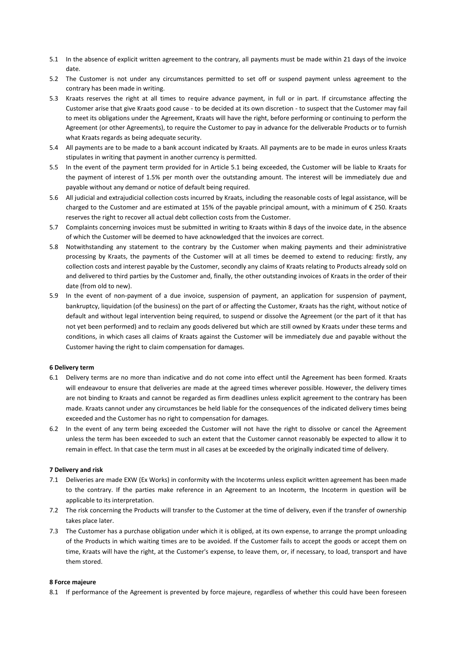- 5.1 In the absence of explicit written agreement to the contrary, all payments must be made within 21 days of the invoice date.
- 5.2 The Customer is not under any circumstances permitted to set off or suspend payment unless agreement to the contrary has been made in writing.
- 5.3 Kraats reserves the right at all times to require advance payment, in full or in part. If circumstance affecting the Customer arise that give Kraats good cause - to be decided at its own discretion - to suspect that the Customer may fail to meet its obligations under the Agreement, Kraats will have the right, before performing or continuing to perform the Agreement (or other Agreements), to require the Customer to pay in advance for the deliverable Products or to furnish what Kraats regards as being adequate security.
- 5.4 All payments are to be made to a bank account indicated by Kraats. All payments are to be made in euros unless Kraats stipulates in writing that payment in another currency is permitted.
- 5.5 In the event of the payment term provided for in Article 5.1 being exceeded, the Customer will be liable to Kraats for the payment of interest of 1.5% per month over the outstanding amount. The interest will be immediately due and payable without any demand or notice of default being required.
- 5.6 All judicial and extrajudicial collection costs incurred by Kraats, including the reasonable costs of legal assistance, will be charged to the Customer and are estimated at 15% of the payable principal amount, with a minimum of € 250. Kraats reserves the right to recover all actual debt collection costs from the Customer.
- 5.7 Complaints concerning invoices must be submitted in writing to Kraats within 8 days of the invoice date, in the absence of which the Customer will be deemed to have acknowledged that the invoices are correct.
- 5.8 Notwithstanding any statement to the contrary by the Customer when making payments and their administrative processing by Kraats, the payments of the Customer will at all times be deemed to extend to reducing: firstly, any collection costs and interest payable by the Customer, secondly any claims of Kraats relating to Products already sold on and delivered to third parties by the Customer and, finally, the other outstanding invoices of Kraats in the order of their date (from old to new).
- 5.9 In the event of non-payment of a due invoice, suspension of payment, an application for suspension of payment, bankruptcy, liquidation (of the business) on the part of or affecting the Customer, Kraats has the right, without notice of default and without legal intervention being required, to suspend or dissolve the Agreement (or the part of it that has not yet been performed) and to reclaim any goods delivered but which are still owned by Kraats under these terms and conditions, in which cases all claims of Kraats against the Customer will be immediately due and payable without the Customer having the right to claim compensation for damages.

#### **6 Delivery term**

- 6.1 Delivery terms are no more than indicative and do not come into effect until the Agreement has been formed. Kraats will endeavour to ensure that deliveries are made at the agreed times wherever possible. However, the delivery times are not binding to Kraats and cannot be regarded as firm deadlines unless explicit agreement to the contrary has been made. Kraats cannot under any circumstances be held liable for the consequences of the indicated delivery times being exceeded and the Customer has no right to compensation for damages.
- 6.2 In the event of any term being exceeded the Customer will not have the right to dissolve or cancel the Agreement unless the term has been exceeded to such an extent that the Customer cannot reasonably be expected to allow it to remain in effect. In that case the term must in all cases at be exceeded by the originally indicated time of delivery.

#### **7 Delivery and risk**

- 7.1 Deliveries are made EXW (Ex Works) in conformity with the Incoterms unless explicit written agreement has been made to the contrary. If the parties make reference in an Agreement to an Incoterm, the Incoterm in question will be applicable to its interpretation.
- 7.2 The risk concerning the Products will transfer to the Customer at the time of delivery, even if the transfer of ownership takes place later.
- 7.3 The Customer has a purchase obligation under which it is obliged, at its own expense, to arrange the prompt unloading of the Products in which waiting times are to be avoided. If the Customer fails to accept the goods or accept them on time, Kraats will have the right, at the Customer's expense, to leave them, or, if necessary, to load, transport and have them stored.

#### **8 Force majeure**

8.1 If performance of the Agreement is prevented by force majeure, regardless of whether this could have been foreseen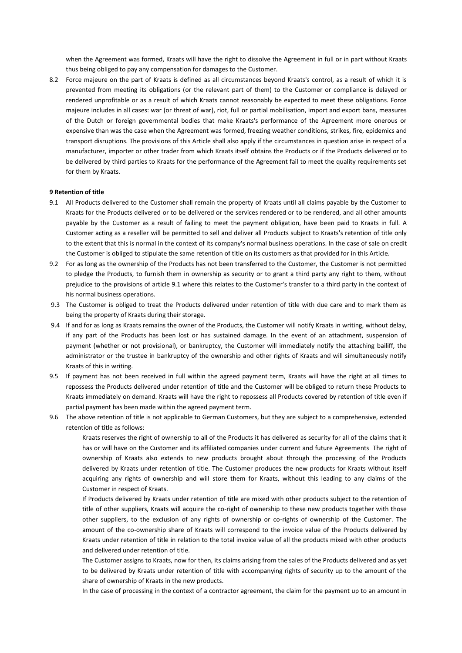when the Agreement was formed, Kraats will have the right to dissolve the Agreement in full or in part without Kraats thus being obliged to pay any compensation for damages to the Customer.

8.2 Force majeure on the part of Kraats is defined as all circumstances beyond Kraats's control, as a result of which it is prevented from meeting its obligations (or the relevant part of them) to the Customer or compliance is delayed or rendered unprofitable or as a result of which Kraats cannot reasonably be expected to meet these obligations. Force majeure includes in all cases: war (or threat of war), riot, full or partial mobilisation, import and export bans, measures of the Dutch or foreign governmental bodies that make Kraats's performance of the Agreement more onerous or expensive than was the case when the Agreement was formed, freezing weather conditions, strikes, fire, epidemics and transport disruptions. The provisions of this Article shall also apply if the circumstances in question arise in respect of a manufacturer, importer or other trader from which Kraats itself obtains the Products or if the Products delivered or to be delivered by third parties to Kraats for the performance of the Agreement fail to meet the quality requirements set for them by Kraats.

#### **9 Retention of title**

- 9.1 All Products delivered to the Customer shall remain the property of Kraats until all claims payable by the Customer to Kraats for the Products delivered or to be delivered or the services rendered or to be rendered, and all other amounts payable by the Customer as a result of failing to meet the payment obligation, have been paid to Kraats in full. A Customer acting as a reseller will be permitted to sell and deliver all Products subject to Kraats's retention of title only to the extent that this is normal in the context of its company's normal business operations. In the case of sale on credit the Customer is obliged to stipulate the same retention of title on its customers as that provided for in this Article.
- 9.2 For as long as the ownership of the Products has not been transferred to the Customer, the Customer is not permitted to pledge the Products, to furnish them in ownership as security or to grant a third party any right to them, without prejudice to the provisions of article 9.1 where this relates to the Customer's transfer to a third party in the context of his normal business operations.
- 9.3 The Customer is obliged to treat the Products delivered under retention of title with due care and to mark them as being the property of Kraats during their storage.
- 9.4 If and for as long as Kraats remains the owner of the Products, the Customer will notify Kraats in writing, without delay, if any part of the Products has been lost or has sustained damage. In the event of an attachment, suspension of payment (whether or not provisional), or bankruptcy, the Customer will immediately notify the attaching bailiff, the administrator or the trustee in bankruptcy of the ownership and other rights of Kraats and will simultaneously notify Kraats of this in writing.
- 9.5 If payment has not been received in full within the agreed payment term, Kraats will have the right at all times to repossess the Products delivered under retention of title and the Customer will be obliged to return these Products to Kraats immediately on demand. Kraats will have the right to repossess all Products covered by retention of title even if partial payment has been made within the agreed payment term.
- 9.6 The above retention of title is not applicable to German Customers, but they are subject to a comprehensive, extended retention of title as follows:

Kraats reserves the right of ownership to all of the Products it has delivered as security for all of the claims that it has or will have on the Customer and its affiliated companies under current and future Agreements The right of ownership of Kraats also extends to new products brought about through the processing of the Products delivered by Kraats under retention of title. The Customer produces the new products for Kraats without itself acquiring any rights of ownership and will store them for Kraats, without this leading to any claims of the Customer in respect of Kraats.

If Products delivered by Kraats under retention of title are mixed with other products subject to the retention of title of other suppliers, Kraats will acquire the co-right of ownership to these new products together with those other suppliers, to the exclusion of any rights of ownership or co-rights of ownership of the Customer. The amount of the co-ownership share of Kraats will correspond to the invoice value of the Products delivered by Kraats under retention of title in relation to the total invoice value of all the products mixed with other products and delivered under retention of title.

The Customer assigns to Kraats, now for then, its claims arising from the sales of the Products delivered and as yet to be delivered by Kraats under retention of title with accompanying rights of security up to the amount of the share of ownership of Kraats in the new products.

In the case of processing in the context of a contractor agreement, the claim for the payment up to an amount in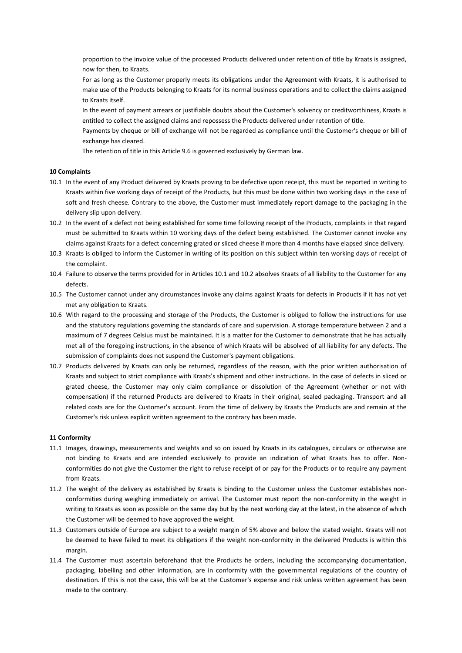proportion to the invoice value of the processed Products delivered under retention of title by Kraats is assigned, now for then, to Kraats.

For as long as the Customer properly meets its obligations under the Agreement with Kraats, it is authorised to make use of the Products belonging to Kraats for its normal business operations and to collect the claims assigned to Kraats itself.

In the event of payment arrears or justifiable doubts about the Customer's solvency or creditworthiness, Kraats is entitled to collect the assigned claims and repossess the Products delivered under retention of title.

Payments by cheque or bill of exchange will not be regarded as compliance until the Customer's cheque or bill of exchange has cleared.

The retention of title in this Article 9.6 is governed exclusively by German law.

## **10 Complaints**

- 10.1 In the event of any Product delivered by Kraats proving to be defective upon receipt, this must be reported in writing to Kraats within five working days of receipt of the Products, but this must be done within two working days in the case of soft and fresh cheese. Contrary to the above, the Customer must immediately report damage to the packaging in the delivery slip upon delivery.
- 10.2 In the event of a defect not being established for some time following receipt of the Products, complaints in that regard must be submitted to Kraats within 10 working days of the defect being established. The Customer cannot invoke any claims against Kraats for a defect concerning grated or sliced cheese if more than 4 months have elapsed since delivery.
- 10.3 Kraats is obliged to inform the Customer in writing of its position on this subject within ten working days of receipt of the complaint.
- 10.4 Failure to observe the terms provided for in Articles 10.1 and 10.2 absolves Kraats of all liability to the Customer for any defects.
- 10.5 The Customer cannot under any circumstances invoke any claims against Kraats for defects in Products if it has not yet met any obligation to Kraats.
- 10.6 With regard to the processing and storage of the Products, the Customer is obliged to follow the instructions for use and the statutory regulations governing the standards of care and supervision. A storage temperature between 2 and a maximum of 7 degrees Celsius must be maintained. It is a matter for the Customer to demonstrate that he has actually met all of the foregoing instructions, in the absence of which Kraats will be absolved of all liability for any defects. The submission of complaints does not suspend the Customer's payment obligations.
- 10.7 Products delivered by Kraats can only be returned, regardless of the reason, with the prior written authorisation of Kraats and subject to strict compliance with Kraats's shipment and other instructions. In the case of defects in sliced or grated cheese, the Customer may only claim compliance or dissolution of the Agreement (whether or not with compensation) if the returned Products are delivered to Kraats in their original, sealed packaging. Transport and all related costs are for the Customer's account. From the time of delivery by Kraats the Products are and remain at the Customer's risk unless explicit written agreement to the contrary has been made.

## **11 Conformity**

- 11.1 Images, drawings, measurements and weights and so on issued by Kraats in its catalogues, circulars or otherwise are not binding to Kraats and are intended exclusively to provide an indication of what Kraats has to offer. Nonconformities do not give the Customer the right to refuse receipt of or pay for the Products or to require any payment from Kraats.
- 11.2 The weight of the delivery as established by Kraats is binding to the Customer unless the Customer establishes nonconformities during weighing immediately on arrival. The Customer must report the non-conformity in the weight in writing to Kraats as soon as possible on the same day but by the next working day at the latest, in the absence of which the Customer will be deemed to have approved the weight.
- 11.3 Customers outside of Europe are subject to a weight margin of 5% above and below the stated weight. Kraats will not be deemed to have failed to meet its obligations if the weight non-conformity in the delivered Products is within this margin.
- 11.4 The Customer must ascertain beforehand that the Products he orders, including the accompanying documentation, packaging, labelling and other information, are in conformity with the governmental regulations of the country of destination. If this is not the case, this will be at the Customer's expense and risk unless written agreement has been made to the contrary.